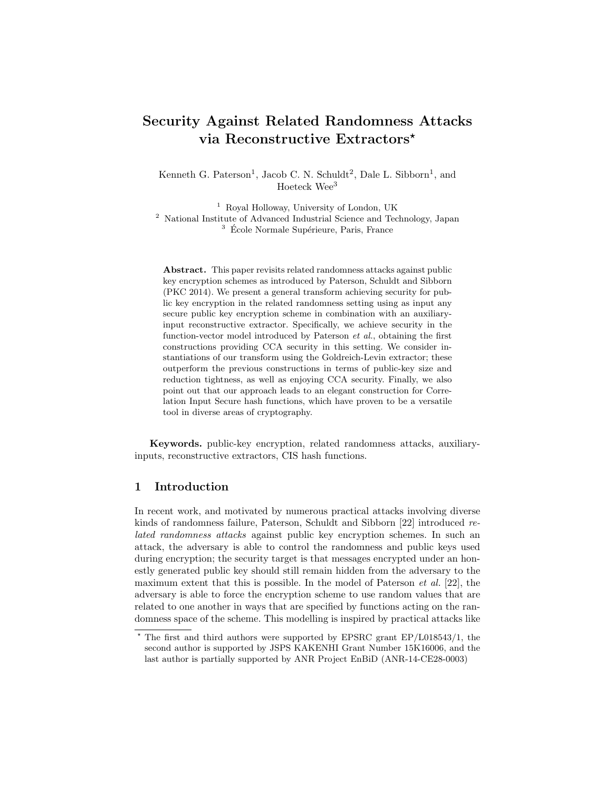# Security Against Related Randomness Attacks via Reconstructive Extractors<sup>\*</sup>

Kenneth G. Paterson<sup>1</sup>, Jacob C. N. Schuldt<sup>2</sup>, Dale L. Sibborn<sup>1</sup>, and Hoeteck Wee<sup>3</sup>

<sup>1</sup> Royal Holloway, University of London, UK <sup>2</sup> National Institute of Advanced Industrial Science and Technology, Japan  $3\,$  École Normale Supérieure, Paris, France

Abstract. This paper revisits related randomness attacks against public key encryption schemes as introduced by Paterson, Schuldt and Sibborn (PKC 2014). We present a general transform achieving security for public key encryption in the related randomness setting using as input any secure public key encryption scheme in combination with an auxiliaryinput reconstructive extractor. Specifically, we achieve security in the function-vector model introduced by Paterson et al., obtaining the first constructions providing CCA security in this setting. We consider instantiations of our transform using the Goldreich-Levin extractor; these outperform the previous constructions in terms of public-key size and reduction tightness, as well as enjoying CCA security. Finally, we also point out that our approach leads to an elegant construction for Correlation Input Secure hash functions, which have proven to be a versatile tool in diverse areas of cryptography.

Keywords. public-key encryption, related randomness attacks, auxiliaryinputs, reconstructive extractors, CIS hash functions.

### 1 Introduction

In recent work, and motivated by numerous practical attacks involving diverse kinds of randomness failure, Paterson, Schuldt and Sibborn [22] introduced related randomness attacks against public key encryption schemes. In such an attack, the adversary is able to control the randomness and public keys used during encryption; the security target is that messages encrypted under an honestly generated public key should still remain hidden from the adversary to the maximum extent that this is possible. In the model of Paterson  $et al.$  [22], the adversary is able to force the encryption scheme to use random values that are related to one another in ways that are specified by functions acting on the randomness space of the scheme. This modelling is inspired by practical attacks like

<sup>?</sup> The first and third authors were supported by EPSRC grant EP/L018543/1, the second author is supported by JSPS KAKENHI Grant Number 15K16006, and the last author is partially supported by ANR Project EnBiD (ANR-14-CE28-0003)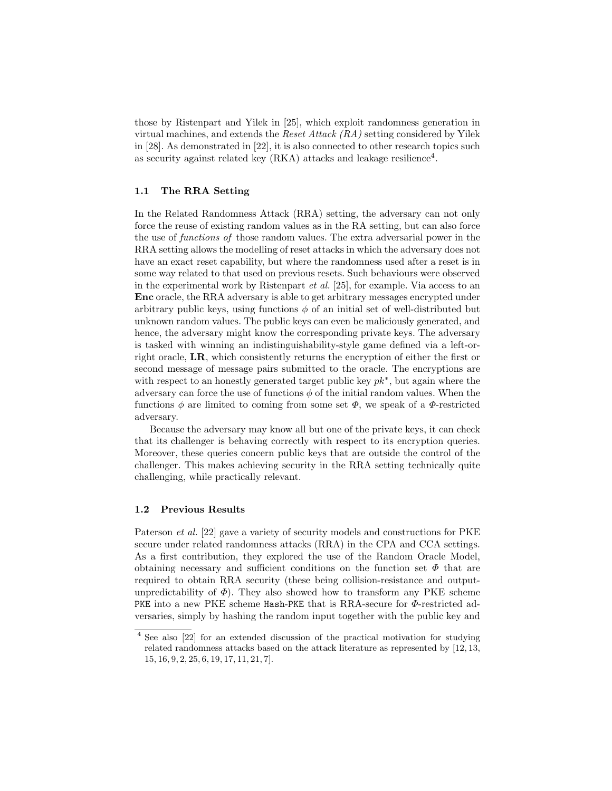those by Ristenpart and Yilek in [25], which exploit randomness generation in virtual machines, and extends the Reset Attack  $(RA)$  setting considered by Yilek in [28]. As demonstrated in [22], it is also connected to other research topics such as security against related key  $(RKA)$  attacks and leakage resilience<sup>4</sup>.

#### 1.1 The RRA Setting

In the Related Randomness Attack (RRA) setting, the adversary can not only force the reuse of existing random values as in the RA setting, but can also force the use of functions of those random values. The extra adversarial power in the RRA setting allows the modelling of reset attacks in which the adversary does not have an exact reset capability, but where the randomness used after a reset is in some way related to that used on previous resets. Such behaviours were observed in the experimental work by Ristenpart et al. [25], for example. Via access to an Enc oracle, the RRA adversary is able to get arbitrary messages encrypted under arbitrary public keys, using functions  $\phi$  of an initial set of well-distributed but unknown random values. The public keys can even be maliciously generated, and hence, the adversary might know the corresponding private keys. The adversary is tasked with winning an indistinguishability-style game defined via a left-orright oracle, LR, which consistently returns the encryption of either the first or second message of message pairs submitted to the oracle. The encryptions are with respect to an honestly generated target public key  $pk^*$ , but again where the adversary can force the use of functions  $\phi$  of the initial random values. When the functions  $\phi$  are limited to coming from some set  $\Phi$ , we speak of a  $\Phi$ -restricted adversary.

Because the adversary may know all but one of the private keys, it can check that its challenger is behaving correctly with respect to its encryption queries. Moreover, these queries concern public keys that are outside the control of the challenger. This makes achieving security in the RRA setting technically quite challenging, while practically relevant.

#### 1.2 Previous Results

Paterson *et al.* [22] gave a variety of security models and constructions for PKE secure under related randomness attacks (RRA) in the CPA and CCA settings. As a first contribution, they explored the use of the Random Oracle Model, obtaining necessary and sufficient conditions on the function set  $\Phi$  that are required to obtain RRA security (these being collision-resistance and outputunpredictability of  $\Phi$ ). They also showed how to transform any PKE scheme PKE into a new PKE scheme Hash-PKE that is RRA-secure for Φ-restricted adversaries, simply by hashing the random input together with the public key and

<sup>4</sup> See also [22] for an extended discussion of the practical motivation for studying related randomness attacks based on the attack literature as represented by [12, 13, 15, 16, 9, 2, 25, 6, 19, 17, 11, 21, 7].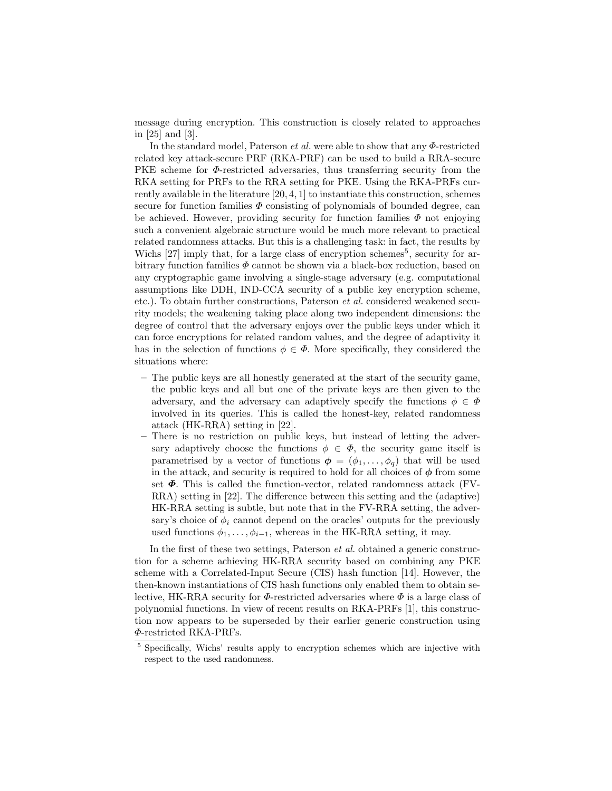message during encryption. This construction is closely related to approaches in [25] and [3].

In the standard model, Paterson *et al.* were able to show that any  $\Phi$ -restricted related key attack-secure PRF (RKA-PRF) can be used to build a RRA-secure PKE scheme for  $\Phi$ -restricted adversaries, thus transferring security from the RKA setting for PRFs to the RRA setting for PKE. Using the RKA-PRFs currently available in the literature [20, 4, 1] to instantiate this construction, schemes secure for function families  $\Phi$  consisting of polynomials of bounded degree, can be achieved. However, providing security for function families  $\Phi$  not enjoying such a convenient algebraic structure would be much more relevant to practical related randomness attacks. But this is a challenging task: in fact, the results by Wichs  $[27]$  imply that, for a large class of encryption schemes<sup>5</sup>, security for arbitrary function families  $\Phi$  cannot be shown via a black-box reduction, based on any cryptographic game involving a single-stage adversary (e.g. computational assumptions like DDH, IND-CCA security of a public key encryption scheme, etc.). To obtain further constructions, Paterson et al. considered weakened security models; the weakening taking place along two independent dimensions: the degree of control that the adversary enjoys over the public keys under which it can force encryptions for related random values, and the degree of adaptivity it has in the selection of functions  $\phi \in \Phi$ . More specifically, they considered the situations where:

- The public keys are all honestly generated at the start of the security game, the public keys and all but one of the private keys are then given to the adversary, and the adversary can adaptively specify the functions  $\phi \in \Phi$ involved in its queries. This is called the honest-key, related randomness attack (HK-RRA) setting in [22].
- There is no restriction on public keys, but instead of letting the adversary adaptively choose the functions  $\phi \in \Phi$ , the security game itself is parametrised by a vector of functions  $\phi = (\phi_1, \ldots, \phi_q)$  that will be used in the attack, and security is required to hold for all choices of  $\phi$  from some set  $\Phi$ . This is called the function-vector, related randomness attack (FV-RRA) setting in [22]. The difference between this setting and the (adaptive) HK-RRA setting is subtle, but note that in the FV-RRA setting, the adversary's choice of  $\phi_i$  cannot depend on the oracles' outputs for the previously used functions  $\phi_1, \ldots, \phi_{i-1}$ , whereas in the HK-RRA setting, it may.

In the first of these two settings, Paterson et al. obtained a generic construction for a scheme achieving HK-RRA security based on combining any PKE scheme with a Correlated-Input Secure (CIS) hash function [14]. However, the then-known instantiations of CIS hash functions only enabled them to obtain selective, HK-RRA security for  $\Phi$ -restricted adversaries where  $\Phi$  is a large class of polynomial functions. In view of recent results on RKA-PRFs [1], this construction now appears to be superseded by their earlier generic construction using Φ-restricted RKA-PRFs.

<sup>5</sup> Specifically, Wichs' results apply to encryption schemes which are injective with respect to the used randomness.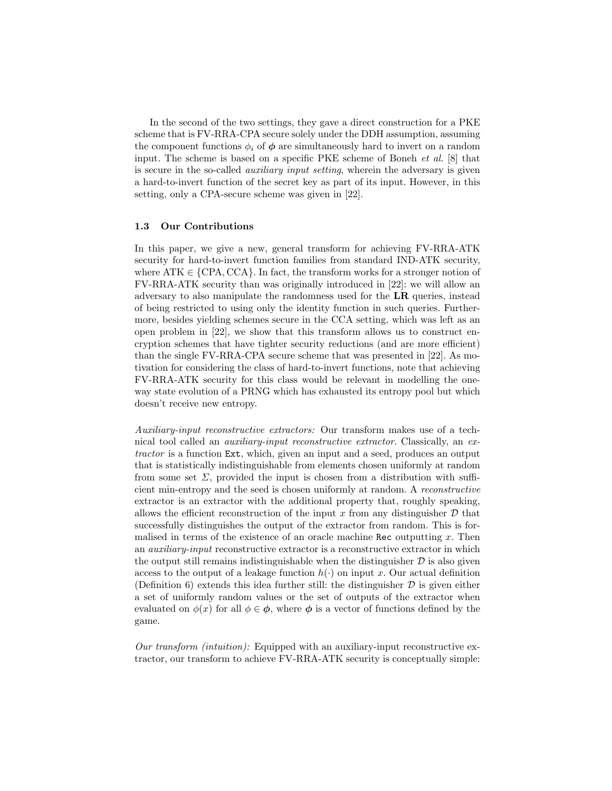In the second of the two settings, they gave a direct construction for a PKE scheme that is FV-RRA-CPA secure solely under the DDH assumption, assuming the component functions  $\phi_i$  of  $\phi$  are simultaneously hard to invert on a random input. The scheme is based on a specific PKE scheme of Boneh et al. [8] that is secure in the so-called *auxiliary input setting*, wherein the adversary is given a hard-to-invert function of the secret key as part of its input. However, in this setting, only a CPA-secure scheme was given in [22].

#### 1.3 Our Contributions

In this paper, we give a new, general transform for achieving FV-RRA-ATK security for hard-to-invert function families from standard IND-ATK security, where  $ATK \in \{CPA, CCA\}$ . In fact, the transform works for a stronger notion of FV-RRA-ATK security than was originally introduced in [22]: we will allow an adversary to also manipulate the randomness used for the LR queries, instead of being restricted to using only the identity function in such queries. Furthermore, besides yielding schemes secure in the CCA setting, which was left as an open problem in [22], we show that this transform allows us to construct encryption schemes that have tighter security reductions (and are more efficient) than the single FV-RRA-CPA secure scheme that was presented in [22]. As motivation for considering the class of hard-to-invert functions, note that achieving FV-RRA-ATK security for this class would be relevant in modelling the oneway state evolution of a PRNG which has exhausted its entropy pool but which doesn't receive new entropy.

Auxiliary-input reconstructive extractors: Our transform makes use of a technical tool called an auxiliary-input reconstructive extractor. Classically, an extractor is a function Ext, which, given an input and a seed, produces an output that is statistically indistinguishable from elements chosen uniformly at random from some set  $\Sigma$ , provided the input is chosen from a distribution with sufficient min-entropy and the seed is chosen uniformly at random. A reconstructive extractor is an extractor with the additional property that, roughly speaking, allows the efficient reconstruction of the input x from any distinguisher  $\mathcal D$  that successfully distinguishes the output of the extractor from random. This is formalised in terms of the existence of an oracle machine Rec outputting  $x$ . Then an auxiliary-input reconstructive extractor is a reconstructive extractor in which the output still remains indistinguishable when the distinguisher  $D$  is also given access to the output of a leakage function  $h(\cdot)$  on input x. Our actual definition (Definition 6) extends this idea further still: the distinguisher  $\mathcal D$  is given either a set of uniformly random values or the set of outputs of the extractor when evaluated on  $\phi(x)$  for all  $\phi \in \phi$ , where  $\phi$  is a vector of functions defined by the game.

Our transform (intuition): Equipped with an auxiliary-input reconstructive extractor, our transform to achieve FV-RRA-ATK security is conceptually simple: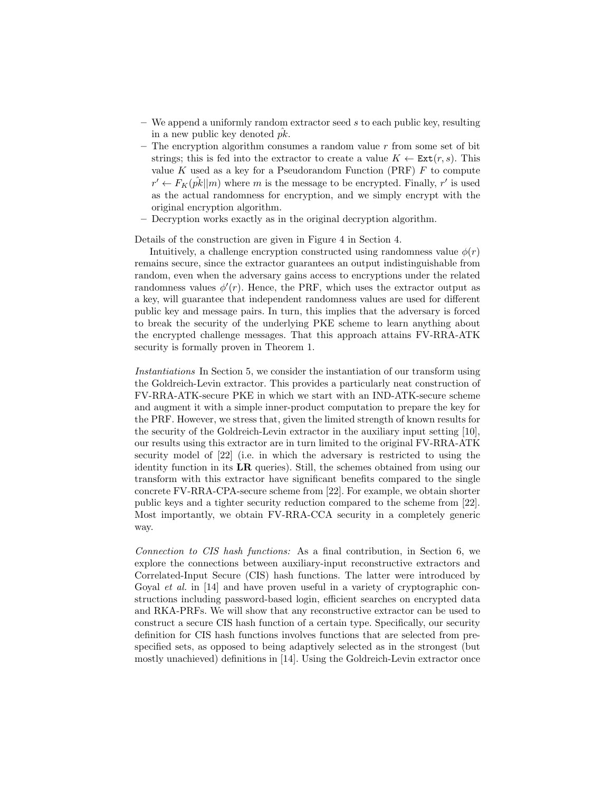- $-$  We append a uniformly random extractor seed s to each public key, resulting in a new public key denoted  $pk$ .
- The encryption algorithm consumes a random value  $r$  from some set of bit strings; this is fed into the extractor to create a value  $K \leftarrow \text{Ext}(r, s)$ . This value K used as a key for a Pseudorandom Function (PRF)  $F$  to compute  $r' \leftarrow F_K(\hat{pk}||m)$  where m is the message to be encrypted. Finally, r' is used as the actual randomness for encryption, and we simply encrypt with the original encryption algorithm.
- Decryption works exactly as in the original decryption algorithm.

Details of the construction are given in Figure 4 in Section 4.

Intuitively, a challenge encryption constructed using randomness value  $\phi(r)$ remains secure, since the extractor guarantees an output indistinguishable from random, even when the adversary gains access to encryptions under the related randomness values  $\phi'(r)$ . Hence, the PRF, which uses the extractor output as a key, will guarantee that independent randomness values are used for different public key and message pairs. In turn, this implies that the adversary is forced to break the security of the underlying PKE scheme to learn anything about the encrypted challenge messages. That this approach attains FV-RRA-ATK security is formally proven in Theorem 1.

Instantiations In Section 5, we consider the instantiation of our transform using the Goldreich-Levin extractor. This provides a particularly neat construction of FV-RRA-ATK-secure PKE in which we start with an IND-ATK-secure scheme and augment it with a simple inner-product computation to prepare the key for the PRF. However, we stress that, given the limited strength of known results for the security of the Goldreich-Levin extractor in the auxiliary input setting [10], our results using this extractor are in turn limited to the original FV-RRA-ATK security model of [22] (i.e. in which the adversary is restricted to using the identity function in its LR queries). Still, the schemes obtained from using our transform with this extractor have significant benefits compared to the single concrete FV-RRA-CPA-secure scheme from [22]. For example, we obtain shorter public keys and a tighter security reduction compared to the scheme from [22]. Most importantly, we obtain FV-RRA-CCA security in a completely generic way.

Connection to CIS hash functions: As a final contribution, in Section 6, we explore the connections between auxiliary-input reconstructive extractors and Correlated-Input Secure (CIS) hash functions. The latter were introduced by Goyal et al. in [14] and have proven useful in a variety of cryptographic constructions including password-based login, efficient searches on encrypted data and RKA-PRFs. We will show that any reconstructive extractor can be used to construct a secure CIS hash function of a certain type. Specifically, our security definition for CIS hash functions involves functions that are selected from prespecified sets, as opposed to being adaptively selected as in the strongest (but mostly unachieved) definitions in [14]. Using the Goldreich-Levin extractor once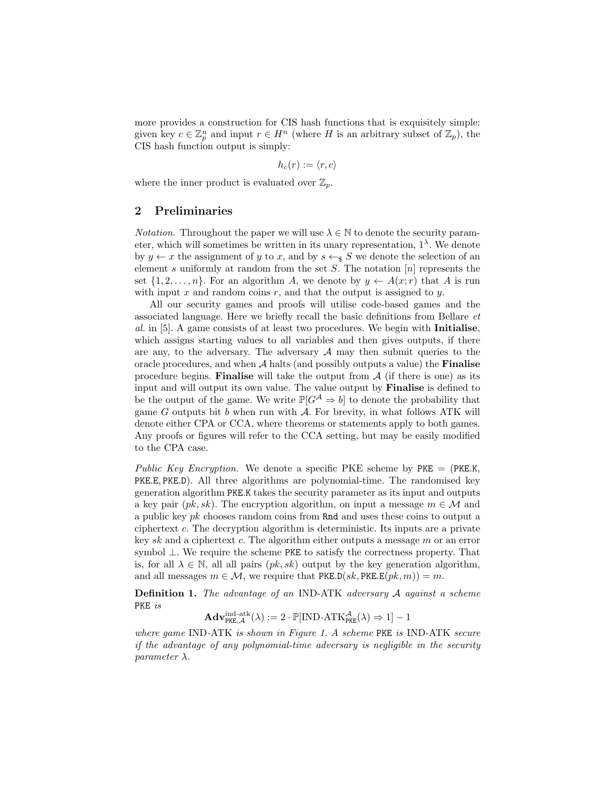more provides a construction for CIS hash functions that is exquisitely simple: given key  $c \in \mathbb{Z}_p^n$  and input  $r \in H^n$  (where H is an arbitrary subset of  $\mathbb{Z}_p$ ), the CIS hash function output is simply:

$$
h_c(r) := \langle r, c \rangle
$$

where the inner product is evaluated over  $\mathbb{Z}_n$ .

#### 2 Preliminaries

*Notation.* Throughout the paper we will use  $\lambda \in \mathbb{N}$  to denote the security parameter, which will sometimes be written in its unary representation,  $1^{\lambda}$ . We denote by  $y \leftarrow x$  the assignment of y to x, and by  $s \leftarrow s S$  we denote the selection of an element s uniformly at random from the set  $S$ . The notation  $[n]$  represents the set  $\{1, 2, \ldots, n\}$ . For an algorithm A, we denote by  $y \leftarrow A(x; r)$  that A is run with input x and random coins  $r$ , and that the output is assigned to y.

All our security games and proofs will utilise code-based games and the associated language. Here we briefly recall the basic definitions from Bellare et al. in [5]. A game consists of at least two procedures. We begin with Initialise, which assigns starting values to all variables and then gives outputs, if there are any, to the adversary. The adversary  $A$  may then submit queries to the oracle procedures, and when  $A$  halts (and possibly outputs a value) the **Finalise** procedure begins. **Finalise** will take the output from  $A$  (if there is one) as its input and will output its own value. The value output by Finalise is defined to be the output of the game. We write  $\mathbb{P}[G^{\mathcal{A}} \Rightarrow b]$  to denote the probability that game  $G$  outputs bit  $b$  when run with  $A$ . For brevity, in what follows ATK will denote either CPA or CCA, where theorems or statements apply to both games. Any proofs or figures will refer to the CCA setting, but may be easily modified to the CPA case.

Public Key Encryption. We denote a specific PKE scheme by PKE =  $(PKE.K,$ PKE.E, PKE.D). All three algorithms are polynomial-time. The randomised key generation algorithm PKE.K takes the security parameter as its input and outputs a key pair  $(pk, sk)$ . The encryption algorithm, on input a message  $m \in \mathcal{M}$  and a public key pk chooses random coins from Rnd and uses these coins to output a ciphertext c. The decryption algorithm is deterministic. Its inputs are a private key sk and a ciphertext c. The algorithm either outputs a message  $m$  or an error symbol ⊥. We require the scheme PKE to satisfy the correctness property. That is, for all  $\lambda \in \mathbb{N}$ , all all pairs  $(pk, sk)$  output by the key generation algorithm, and all messages  $m \in \mathcal{M}$ , we require that PKE.D(sk, PKE.E(pk, m)) = m.

**Definition 1.** The advantage of an IND-ATK adversary A against a scheme PKE is

$$
\mathbf{Adv}_{\mathsf{PKE},\mathcal{A}}^{\mathrm{ind-atk}}(\lambda) := 2 \cdot \mathbb{P}[\mathrm{IND}\text{-}\mathrm{ATK}_{\mathsf{PKE}}^{\mathcal{A}}(\lambda) \Rightarrow 1] - 1
$$

where game IND-ATK is shown in Figure 1. A scheme PKE is IND-ATK secure if the advantage of any polynomial-time adversary is negligible in the security parameter  $\lambda$ .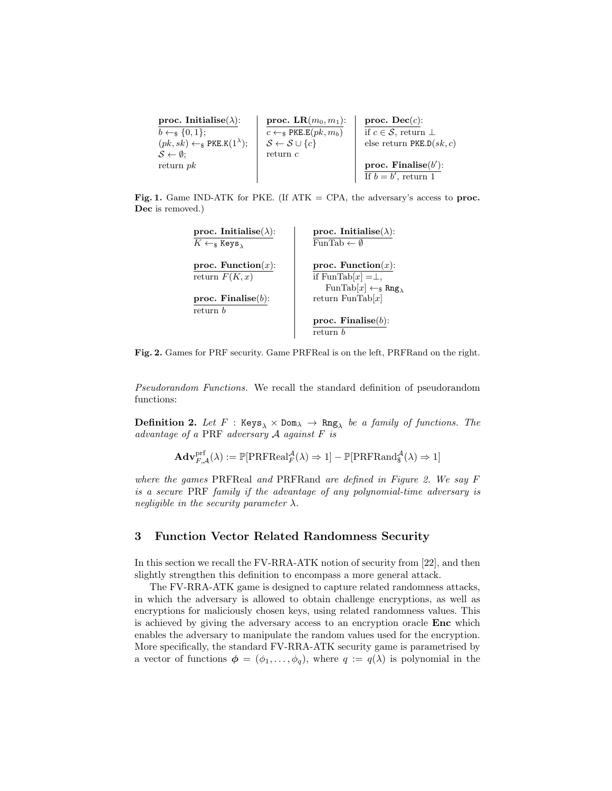| proc. Initialise( $\lambda$ ):                              | proc. $LR(m_0, m_1)$ :             | proc. $\textbf{Dec}(c)$ :               |
|-------------------------------------------------------------|------------------------------------|-----------------------------------------|
| $b \leftarrow_s \{0, 1\};$                                  | $c \leftarrow s$ PKE.E $(pk, m_b)$ | if $c \in \mathcal{S}$ , return $\perp$ |
| $(pk, sk) \leftarrow$ <sub>\$</sub> PKE.K $(1^{\lambda})$ ; | $S \leftarrow S \cup \{c\}$        | else return PKE.D $(sk, c)$             |
| $\mathcal{S} \leftarrow \emptyset$ :                        | return $c$                         |                                         |
| return $pk$                                                 |                                    | proc. Finalise $(b')$ :                 |
|                                                             |                                    | If $b = b'$ , return 1                  |

Fig. 1. Game IND-ATK for PKE. (If  $ATK = CPA$ , the adversary's access to proc. Dec is removed.)

| proc. Initialise( $\lambda$ ):                                       | proc. Initialise( $\lambda$ ):                          |
|----------------------------------------------------------------------|---------------------------------------------------------|
| $K \leftarrow$ <sub>\$</sub> Keys <sub><math>_{\lambda}</math></sub> | FunTab $\leftarrow \emptyset$                           |
| proc. Function $(x)$ :                                               | proc. Function $(x)$ :                                  |
| return $F(K, x)$                                                     | if FunTab[x] $=\perp$ ,                                 |
|                                                                      | $\text{FunTab}[x] \leftarrow_{\$} \text{Rng}_{\lambda}$ |
| proc. Finalise $(b)$ :                                               | return FunTab $[x]$                                     |
| return b                                                             |                                                         |
|                                                                      | proc. Finalise $(b)$ :                                  |
|                                                                      | return b                                                |

Fig. 2. Games for PRF security. Game PRFReal is on the left, PRFRand on the right.

Pseudorandom Functions. We recall the standard definition of pseudorandom functions:

 $\textbf{Definition 2.}$  Let  $F$  : Keys $_\lambda \times$  Dom $_\lambda \, \rightarrow \, {\tt Rng}_\lambda$  be a family of functions. The advantage of a PRF adversary  $A$  against  $F$  is

$$
\mathbf{Adv}_{F,\mathcal{A}}^{\mathrm{prf}}(\lambda) := \mathbb{P}[\mathrm{PRFReal}^{\mathcal{A}}_{F}(\lambda) \Rightarrow 1] - \mathbb{P}[\mathrm{PRFRand}^{\mathcal{A}}_{\$}(\lambda) \Rightarrow 1]
$$

where the games PRFReal and PRFRand are defined in Figure 2. We say F is a secure PRF family if the advantage of any polynomial-time adversary is negligible in the security parameter  $\lambda$ .

#### 3 Function Vector Related Randomness Security

In this section we recall the FV-RRA-ATK notion of security from [22], and then slightly strengthen this definition to encompass a more general attack.

The FV-RRA-ATK game is designed to capture related randomness attacks, in which the adversary is allowed to obtain challenge encryptions, as well as encryptions for maliciously chosen keys, using related randomness values. This is achieved by giving the adversary access to an encryption oracle Enc which enables the adversary to manipulate the random values used for the encryption. More specifically, the standard FV-RRA-ATK security game is parametrised by a vector of functions  $\phi = (\phi_1, \ldots, \phi_q)$ , where  $q := q(\lambda)$  is polynomial in the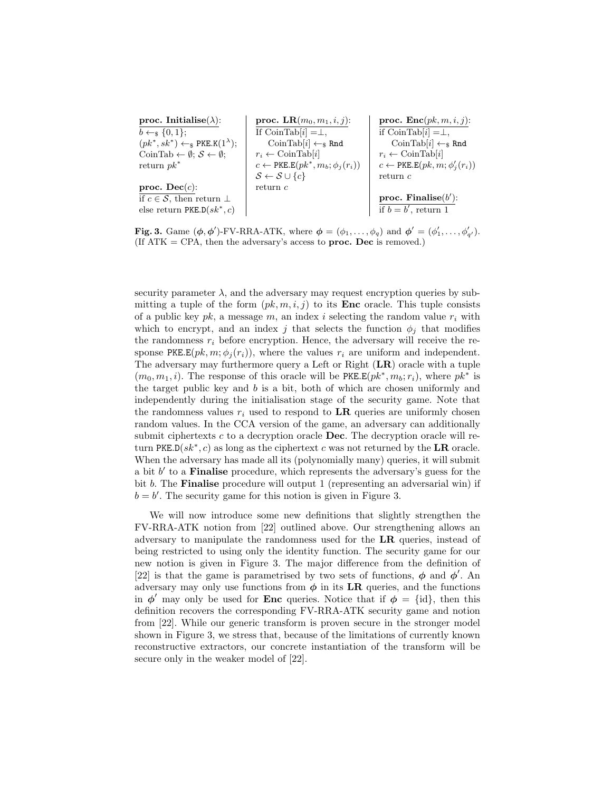| proc. Initialise( $\lambda$ ):                              | proc. LR $(m_0, m_1, i, j)$ :                       | proc. $\text{Enc}(pk, m, i, j)$ :                |
|-------------------------------------------------------------|-----------------------------------------------------|--------------------------------------------------|
| $b \leftarrow_s \{0,1\};$                                   | If $\text{CoinTab}[i] = \perp$ ,                    | if $\text{CoinTab}[i] = \perp$ ,                 |
| $(pk^*, sk^*) \leftarrow_s PKE.K(1^{\lambda});$             | CoinTab $[i] \leftarrow_s$ Rnd                      | CoinTab $[i] \leftarrow_s$ Rnd                   |
| CoinTab $\leftarrow \emptyset$ ; $S \leftarrow \emptyset$ ; | $r_i \leftarrow \text{CoinTab}[i]$                  | $r_i \leftarrow \text{CoinTab}[i]$               |
| return $pk^*$                                               | $c \leftarrow \text{PKE.E}(pk^*, m_b; \phi_j(r_i))$ | $c \leftarrow \text{PKE.E}(pk, m; \phi'_i(r_i))$ |
|                                                             | $S \leftarrow S \cup \{c\}$                         | return c                                         |
| proc. Dec(c):                                               | return c                                            |                                                  |
| if $c \in \mathcal{S}$ , then return $\perp$                |                                                     | proc. Finalise $(b')$ :                          |
| else return PKE.D $(sk^*, c)$                               |                                                     | if $b = b'$ , return 1                           |

Fig. 3. Game  $(\phi, \phi')$ -FV-RRA-ATK, where  $\phi = (\phi_1, \dots, \phi_q)$  and  $\phi' = (\phi'_1, \dots, \phi'_{q'})$ . (If  $ATK = CPA$ , then the adversary's access to **proc.** Dec is removed.)

security parameter  $\lambda$ , and the adversary may request encryption queries by submitting a tuple of the form  $(pk, m, i, j)$  to its **Enc** oracle. This tuple consists of a public key  $pk$ , a message m, an index i selecting the random value  $r_i$  with which to encrypt, and an index j that selects the function  $\phi_i$  that modifies the randomness  $r_i$  before encryption. Hence, the adversary will receive the response PKE.E(pk,  $m; \phi_i(r_i)$ ), where the values  $r_i$  are uniform and independent. The adversary may furthermore query a Left or Right (LR) oracle with a tuple  $(m_0, m_1, i)$ . The response of this oracle will be PKE.E $(pk^*, m_b; r_i)$ , where  $pk^*$  is the target public key and  $b$  is a bit, both of which are chosen uniformly and independently during the initialisation stage of the security game. Note that the randomness values  $r_i$  used to respond to LR queries are uniformly chosen random values. In the CCA version of the game, an adversary can additionally submit ciphertexts  $c$  to a decryption oracle **Dec**. The decryption oracle will return PKE.D( $sk^*$ , c) as long as the ciphertext c was not returned by the LR oracle. When the adversary has made all its (polynomially many) queries, it will submit a bit  $b'$  to a **Finalise** procedure, which represents the adversary's guess for the bit b. The Finalise procedure will output 1 (representing an adversarial win) if  $b = b'$ . The security game for this notion is given in Figure 3.

We will now introduce some new definitions that slightly strengthen the FV-RRA-ATK notion from [22] outlined above. Our strengthening allows an adversary to manipulate the randomness used for the LR queries, instead of being restricted to using only the identity function. The security game for our new notion is given in Figure 3. The major difference from the definition of [22] is that the game is parametrised by two sets of functions,  $\phi$  and  $\phi'$ . An adversary may only use functions from  $\phi$  in its LR queries, and the functions in  $\phi'$  may only be used for **Enc** queries. Notice that if  $\phi = \{\text{id}\},\$  then this definition recovers the corresponding FV-RRA-ATK security game and notion from [22]. While our generic transform is proven secure in the stronger model shown in Figure 3, we stress that, because of the limitations of currently known reconstructive extractors, our concrete instantiation of the transform will be secure only in the weaker model of [22].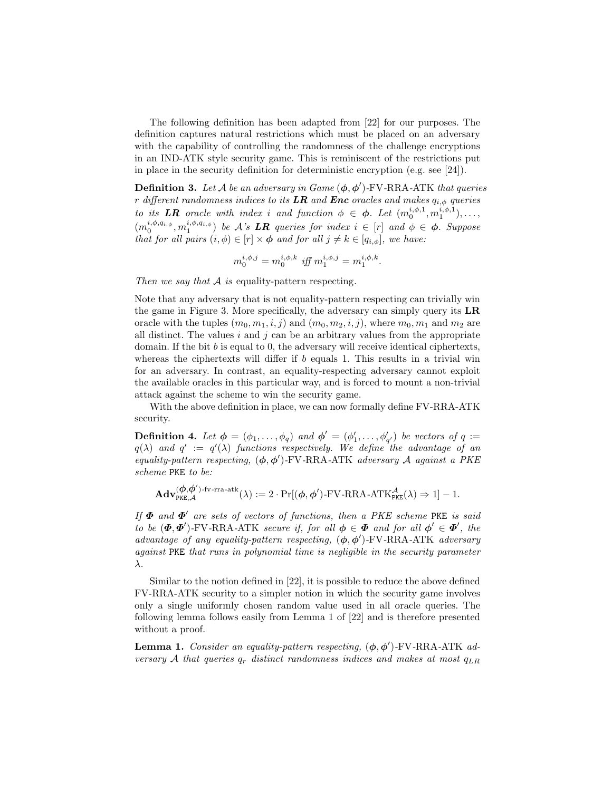The following definition has been adapted from [22] for our purposes. The definition captures natural restrictions which must be placed on an adversary with the capability of controlling the randomness of the challenge encryptions in an IND-ATK style security game. This is reminiscent of the restrictions put in place in the security definition for deterministic encryption (e.g. see [24]).

**Definition 3.** Let A be an adversary in Game  $(\phi, \phi')$ -FV-RRA-ATK that queries r different randomness indices to its **LR** and **Enc** oracles and makes  $q_{i,\phi}$  queries to its **LR** oracle with index i and function  $\phi \in \phi$ . Let  $(m_0^{i,\phi,1}, m_1^{i,\phi,1}), \ldots$ ,  $(m_0^{i,\phi,q_i,\phi},m_1^{i,\phi,q_i,\phi})$  be A's **LR** queries for index  $i \in [r]$  and  $\phi \in \phi$ . Suppose that for all pairs  $(i, \phi) \in [r] \times \phi$  and for all  $j \neq k \in [q_{i,\phi}]$ , we have:

$$
m_0^{i,\phi,j} = m_0^{i,\phi,k} \text{ iff } m_1^{i,\phi,j} = m_1^{i,\phi,k}
$$

.

Then we say that  $A$  is equality-pattern respecting.

Note that any adversary that is not equality-pattern respecting can trivially win the game in Figure 3. More specifically, the adversary can simply query its LR oracle with the tuples  $(m_0, m_1, i, j)$  and  $(m_0, m_2, i, j)$ , where  $m_0, m_1$  and  $m_2$  are all distinct. The values  $i$  and  $j$  can be an arbitrary values from the appropriate domain. If the bit b is equal to 0, the adversary will receive identical ciphertexts, whereas the ciphertexts will differ if  $b$  equals 1. This results in a trivial win for an adversary. In contrast, an equality-respecting adversary cannot exploit the available oracles in this particular way, and is forced to mount a non-trivial attack against the scheme to win the security game.

With the above definition in place, we can now formally define FV-RRA-ATK security.

**Definition 4.** Let  $\phi = (\phi_1, \ldots, \phi_q)$  and  $\phi' = (\phi'_1, \ldots, \phi'_{q'})$  be vectors of  $q :=$  $q(\lambda)$  and  $q' := q'(\lambda)$  functions respectively. We define the advantage of an equality-pattern respecting,  $(\phi, \phi')$ -FV-RRA-ATK adversary A against a PKE scheme PKE to be:

$$
\mathbf{Adv}_{\mathrm{PKE},\mathcal{A}}^{(\boldsymbol{\phi},\boldsymbol{\phi}')\text{-}\mathrm{fv}\text{-}\mathrm{rra}\text{-}\mathrm{atk}}(\lambda):=2\cdot\Pr[(\boldsymbol{\phi},\boldsymbol{\phi}')\text{-}\mathrm{FV}\text{-}\mathrm{RRA}\text{-}\mathrm{ATK}_{\mathrm{PKE}}^{\mathcal{A}}(\lambda)\Rightarrow 1]-1.
$$

If  $\Phi$  and  $\Phi'$  are sets of vectors of functions, then a PKE scheme PKE is said to be  $(\Phi, \Phi')$ -FV-RRA-ATK secure if, for all  $\phi \in \Phi$  and for all  $\phi' \in \Phi'$ , the  $advantage$  of any equality-pattern respecting,  $(\phi, \phi')$ -FV-RRA-ATK adversary against PKE that runs in polynomial time is negligible in the security parameter λ.

Similar to the notion defined in [22], it is possible to reduce the above defined FV-RRA-ATK security to a simpler notion in which the security game involves only a single uniformly chosen random value used in all oracle queries. The following lemma follows easily from Lemma 1 of [22] and is therefore presented without a proof.

**Lemma 1.** Consider an equality-pattern respecting,  $(\phi, \phi')$ -FV-RRA-ATK adversary A that queries  $q_r$  distinct randomness indices and makes at most  $q_{LR}$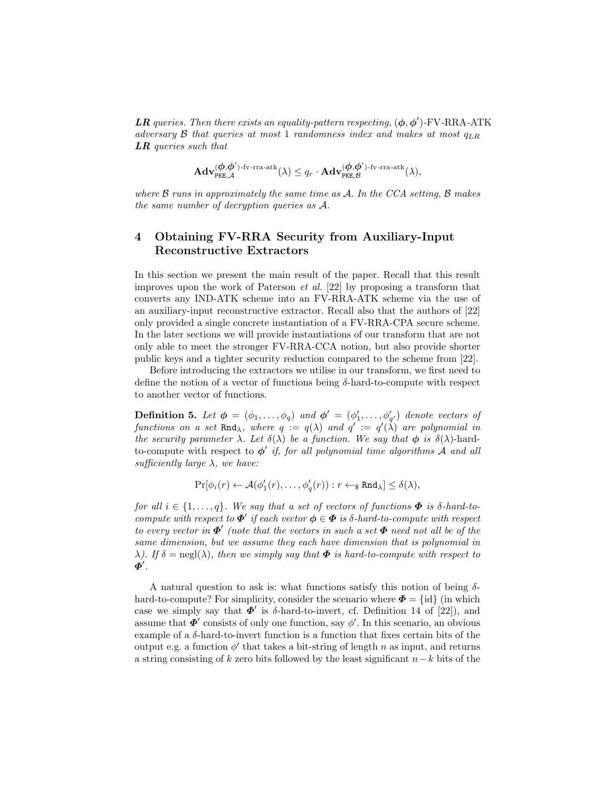**LR** queries. Then there exists an equality-pattern respecting,  $(\phi, \phi')$ -FV-RRA-ATK adversary B that queries at most 1 randomness index and makes at most  $q_{LR}$ LR queries such that

$$
\mathbf{Adv}_{\mathrm{PKE},\mathcal{A}}^{(\boldsymbol{\phi},\boldsymbol{\phi}')\text{-}\mathrm{fv}\text{-}\mathrm{rra}\text{-}\mathrm{atk}}(\lambda)\leq q_r\cdot\mathbf{Adv}_{\mathrm{PKE},\mathcal{B}}^{(\boldsymbol{\phi},\boldsymbol{\phi}')\text{-}\mathrm{fv}\text{-}\mathrm{rra}\text{-}\mathrm{atk}}(\lambda),
$$

where  $\beta$  runs in approximately the same time as  $\mathcal{A}$ . In the CCA setting,  $\beta$  makes the same number of decryption queries as A.

# 4 Obtaining FV-RRA Security from Auxiliary-Input Reconstructive Extractors

In this section we present the main result of the paper. Recall that this result improves upon the work of Paterson et al. [22] by proposing a transform that converts any IND-ATK scheme into an FV-RRA-ATK scheme via the use of an auxiliary-input reconstructive extractor. Recall also that the authors of [22] only provided a single concrete instantiation of a FV-RRA-CPA secure scheme. In the later sections we will provide instantiations of our transform that are not only able to meet the stronger FV-RRA-CCA notion, but also provide shorter public keys and a tighter security reduction compared to the scheme from [22].

Before introducing the extractors we utilise in our transform, we first need to define the notion of a vector of functions being  $\delta$ -hard-to-compute with respect to another vector of functions.

**Definition 5.** Let  $\phi = (\phi_1, \ldots, \phi_q)$  and  $\phi' = (\phi'_1, \ldots, \phi'_{q'})$  denote vectors of functions on a set Rnd<sub> $\lambda$ </sub>, where  $q := q(\lambda)$  and  $q' := q'(\lambda)$  are polynomial in the security parameter  $\lambda$ . Let  $\delta(\lambda)$  be a function. We say that  $\phi$  is  $\delta(\lambda)$ -hardto-compute with respect to  $\phi'$  if, for all polynomial time algorithms  $\overline{A}$  and all sufficiently large  $\lambda$ , we have:

$$
\Pr[\phi_i(r) \leftarrow \mathcal{A}(\phi'_1(r), \dots, \phi'_q(r)) : r \leftarrow_\$ Rnd_\lambda] \leq \delta(\lambda),
$$

for all  $i \in \{1, \ldots, q\}$ . We say that a set of vectors of functions  $\Phi$  is  $\delta$ -hard-tocompute with respect to  $\boldsymbol{\Phi}'$  if each vector  $\boldsymbol{\phi} \in \boldsymbol{\Phi}$  is  $\delta$ -hard-to-compute with respect to every vector in  $\mathbf{\Phi}'$  (note that the vectors in such a set  $\mathbf{\Phi}$  need not all be of the same dimension, but we assume they each have dimension that is polynomial in  $\lambda$ ). If  $\delta = \text{negl}(\lambda)$ , then we simply say that  $\Phi$  is hard-to-compute with respect to  $\check{\boldsymbol{\varPhi}}'$  .

A natural question to ask is: what functions satisfy this notion of being  $\delta$ hard-to-compute? For simplicity, consider the scenario where  $\Phi = \{id\}$  (in which case we simply say that  $\Phi'$  is  $\delta$ -hard-to-invert, cf. Definition 14 of [22]), and assume that  $\boldsymbol{\Phi}'$  consists of only one function, say  $\phi'$ . In this scenario, an obvious example of a δ-hard-to-invert function is a function that fixes certain bits of the output e.g. a function  $\phi'$  that takes a bit-string of length n as input, and returns a string consisting of k zero bits followed by the least significant  $n-k$  bits of the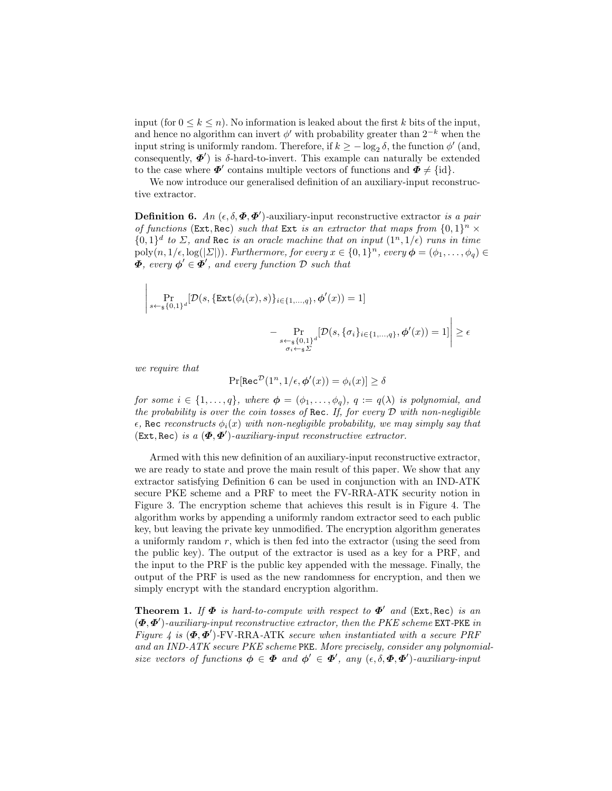input (for  $0 \leq k \leq n$ ). No information is leaked about the first k bits of the input, and hence no algorithm can invert  $\phi'$  with probability greater than  $2^{-k}$  when the input string is uniformly random. Therefore, if  $k \ge -\log_2 \delta$ , the function  $\phi'$  (and, consequently,  $\boldsymbol{\Phi}'$  is δ-hard-to-invert. This example can naturally be extended to the case where  $\boldsymbol{\Phi}'$  contains multiple vectors of functions and  $\boldsymbol{\Phi} \neq \{\text{id}\}.$ 

We now introduce our generalised definition of an auxiliary-input reconstructive extractor.

**Definition 6.** An  $(\epsilon, \delta, \boldsymbol{\Phi}, \boldsymbol{\Phi}')$ -auxiliary-input reconstructive extractor is a pair of functions (Ext, Rec) such that Ext is an extractor that maps from  $\{0,1\}^n$   $\times$  ${0,1}<sup>d</sup>$  to  $\Sigma$ , and Rec is an oracle machine that on input  $(1<sup>n</sup>, 1/e)$  runs in time  $poly(n, 1/\epsilon, \log(|\Sigma|))$ . Furthermore, for every  $x \in \{0, 1\}^n$ , every  $\boldsymbol{\phi} = (\phi_1, \dots, \phi_q) \in$  $\boldsymbol{\Phi},$  every  $\boldsymbol{\phi}' \in \boldsymbol{\Phi}',$  and every function  $\mathcal D$  such that

$$
\left| \Pr_{s \leftarrow s\{0,1\}^d} [\mathcal{D}(s, \{\text{Ext}(\phi_i(x), s)\}_{i \in \{1, \dots, q\}}, \phi'(x)) = 1] - \Pr_{\substack{s \leftarrow s\{0,1\}^d \\ \sigma_i \leftarrow s\Sigma}} [\mathcal{D}(s, \{\sigma_i\}_{i \in \{1, \dots, q\}}, \phi'(x)) = 1] \right| \ge \epsilon
$$

we require that

$$
\Pr[\text{Rec}^{\mathcal{D}}(1^n, 1/\epsilon, \phi'(x)) = \phi_i(x)] \ge \delta
$$

for some  $i \in \{1, \ldots, q\}$ , where  $\boldsymbol{\phi} = (\phi_1, \ldots, \phi_q)$ ,  $q := q(\lambda)$  is polynomial, and the probability is over the coin tosses of Rec. If, for every  $D$  with non-negligible  $\epsilon$ , Rec reconstructs  $\phi_i(x)$  with non-negligible probability, we may simply say that  $(Ext, Rec)$  is a  $(\Phi, \Phi')$ -auxiliary-input reconstructive extractor.

Armed with this new definition of an auxiliary-input reconstructive extractor, we are ready to state and prove the main result of this paper. We show that any extractor satisfying Definition 6 can be used in conjunction with an IND-ATK secure PKE scheme and a PRF to meet the FV-RRA-ATK security notion in Figure 3. The encryption scheme that achieves this result is in Figure 4. The algorithm works by appending a uniformly random extractor seed to each public key, but leaving the private key unmodified. The encryption algorithm generates a uniformly random  $r$ , which is then fed into the extractor (using the seed from the public key). The output of the extractor is used as a key for a PRF, and the input to the PRF is the public key appended with the message. Finally, the output of the PRF is used as the new randomness for encryption, and then we simply encrypt with the standard encryption algorithm.

**Theorem 1.** If  $\Phi$  is hard-to-compute with respect to  $\Phi'$  and (Ext, Rec) is an  $(\boldsymbol{\Phi}, \boldsymbol{\Phi}')$ -auxiliary-input reconstructive extractor, then the PKE scheme EXT-PKE in Figure 4 is  $(\Phi, \Phi')$ -FV-RRA-ATK secure when instantiated with a secure PRF and an IND-ATK secure PKE scheme PKE. More precisely, consider any polynomialsize vectors of functions  $\phi \in \Phi$  and  $\phi' \in \Phi'$ , any  $(\epsilon, \delta, \Phi, \Phi')$ -auxiliary-input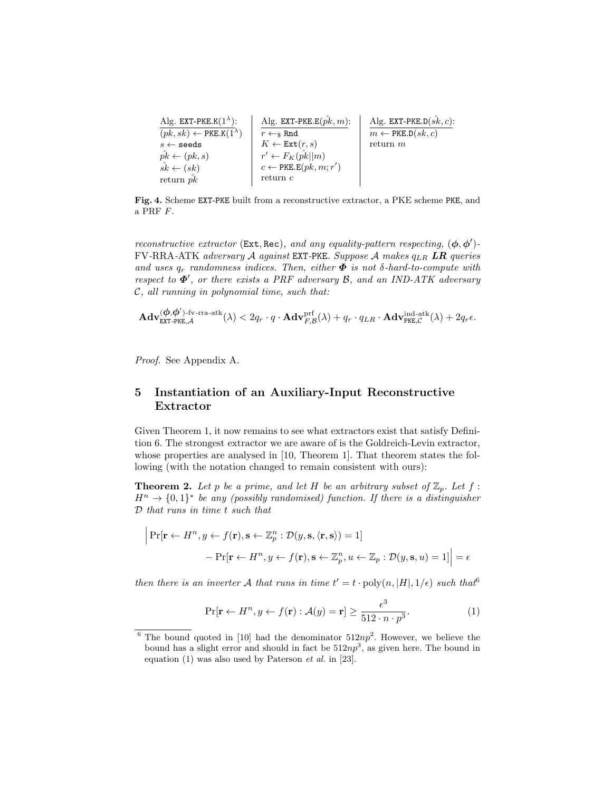$$
\begin{array}{ll|l|l} \text{Alg. EXT-PKE.K}(1^{\lambda}): & \text{Alg. EXT-PKE.E}(\hat{pk},m): & \text{Alg. EXT-PKE.L}(\hat{sk},c): \\ \hline (pk,sk) \leftarrow \text{PKE.K}(1^{\lambda}) & r \leftarrow_\text{S} \text{Rnd} & m \leftarrow \text{PKE.D}(sk,c): \\ s \leftarrow \text{seeds} & K \leftarrow \text{Ext}(r,s) & \text{return $m$} \\ \hat{pk} \leftarrow (pk,s) & r' \leftarrow F_K(\hat{pk}||m) & \\ s\hat{k} \leftarrow (sk) & c \leftarrow \text{PKE.E}(pk,m;r') \\ & \text{return $p$} & \text{return $c$} \end{array}
$$

Fig. 4. Scheme EXT-PKE built from a reconstructive extractor, a PKE scheme PKE, and a PRF F.

reconstructive extractor (Ext, Rec), and any equality-pattern respecting,  $(\phi, \phi')$ - $FV-RRA-ATK$  adversary  $A$  against EXT-PKE. Suppose  $A$  makes  $q_{LR}$  LR queries and uses  $q_r$  randomness indices. Then, either  $\Phi$  is not  $\delta$ -hard-to-compute with respect to  $\mathbf{\Phi}'$ , or there exists a PRF adversary  $\mathcal{B}$ , and an IND-ATK adversary  $C$ , all running in polynomial time, such that:

$$
\mathbf{Adv}_{\texttt{EXT-PKE},\mathcal{A}}^{(\boldsymbol{\phi},\boldsymbol{\phi}')\text{-}\mathrm{fv}\text{-}\mathrm{rra}\text{-}\mathrm{atk}}(\lambda) < 2q_r \cdot q \cdot \mathbf{Adv}_{F,\mathcal{B}}^{\mathrm{prf}}(\lambda) + q_r \cdot q_{LR} \cdot \mathbf{Adv}_{\mathrm{PKE},\mathcal{C}}^{\mathrm{ind}\text{-}\mathrm{atk}}(\lambda) + 2q_r \epsilon.
$$

Proof. See Appendix A.

## 5 Instantiation of an Auxiliary-Input Reconstructive Extractor

Given Theorem 1, it now remains to see what extractors exist that satisfy Definition 6. The strongest extractor we are aware of is the Goldreich-Levin extractor, whose properties are analysed in [10, Theorem 1]. That theorem states the following (with the notation changed to remain consistent with ours):

**Theorem 2.** Let p be a prime, and let H be an arbitrary subset of  $\mathbb{Z}_p$ . Let f:  $H^n \to \{0,1\}^*$  be any (possibly randomised) function. If there is a distinguisher D that runs in time t such that

$$
\left| \Pr[\mathbf{r} \leftarrow H^n, y \leftarrow f(\mathbf{r}), \mathbf{s} \leftarrow \mathbb{Z}_p^n : \mathcal{D}(y, \mathbf{s}, \langle \mathbf{r}, \mathbf{s} \rangle) = 1] - \Pr[\mathbf{r} \leftarrow H^n, y \leftarrow f(\mathbf{r}), \mathbf{s} \leftarrow \mathbb{Z}_p^n, u \leftarrow \mathbb{Z}_p : \mathcal{D}(y, \mathbf{s}, u) = 1] \right) \right| = \epsilon
$$

then there is an inverter A that runs in time  $t' = t \cdot \text{poly}(n, |H|, 1/\epsilon)$  such that

$$
\Pr[\mathbf{r} \leftarrow H^n, y \leftarrow f(\mathbf{r}) : \mathcal{A}(y) = \mathbf{r}] \ge \frac{\epsilon^3}{512 \cdot n \cdot p^3}.
$$
 (1)

<sup>&</sup>lt;sup>6</sup> The bound quoted in [10] had the denominator  $512np^2$ . However, we believe the bound has a slight error and should in fact be  $512np<sup>3</sup>$ , as given here. The bound in equation  $(1)$  was also used by Paterson *et al.* in [23].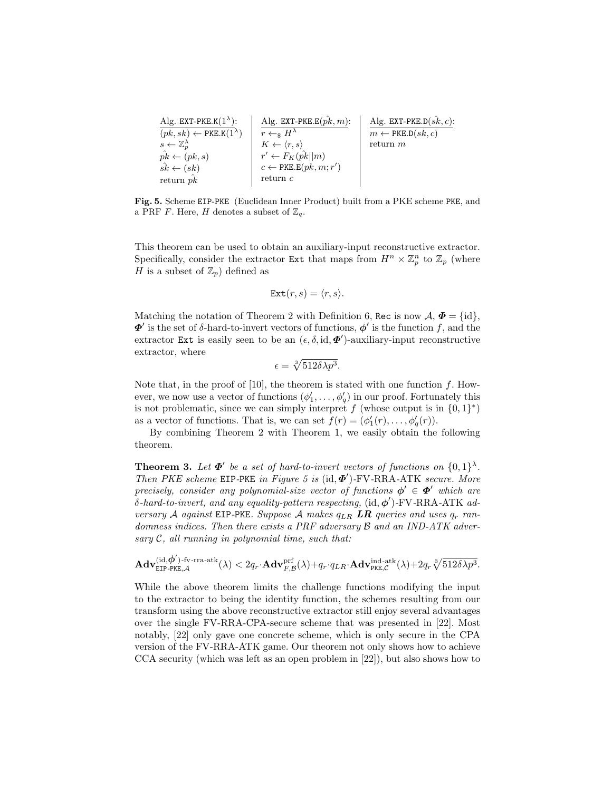$$
\begin{array}{ll|l|l} \text{Alg. EXT-PKE.K}(1^{\lambda}): & \text{Alg. EXT-PKE.E}(\hat{pk},m): & \text{Alg. EXT-PKE.L}(\hat{sk},c): \\ \hline (pk,sk) \leftarrow \text{PKE.K}(1^{\lambda}) & r \leftarrow_{\$} H^{\lambda} & m \leftarrow \text{PKE.D}(sk,c): \\ s \leftarrow \mathbb{Z}_p^{\lambda} & K \leftarrow \langle r,s \rangle & \text{return } m \\ \hat{pk} \leftarrow (pk,s) & r' \leftarrow F_K(\hat{pk}||m) \\ \text{return } \hat{pk} & c \leftarrow \text{PKE.E}(pk,m;r') \\ \text{return } p\hat{k} & \text{return } c \\ \end{array}
$$

Fig. 5. Scheme EIP-PKE (Euclidean Inner Product) built from a PKE scheme PKE, and a PRF  $F.$  Here,  $H$  denotes a subset of  $\mathbb{Z}_q.$ 

This theorem can be used to obtain an auxiliary-input reconstructive extractor. Specifically, consider the extractor Ext that maps from  $H^n \times \mathbb{Z}_p^n$  to  $\mathbb{Z}_p$  (where H is a subset of  $\mathbb{Z}_p$  defined as

$$
\text{Ext}(r,s) = \langle r, s \rangle.
$$

Matching the notation of Theorem 2 with Definition 6, Rec is now  $\mathcal{A}, \mathbf{\Phi} = \{id\},\$  $\mathbf{\Phi}'$  is the set of  $\delta$ -hard-to-invert vectors of functions,  $\mathbf{\phi}'$  is the function f, and the extractor Ext is easily seen to be an  $(\epsilon, \delta, id, \mathbf{\Phi}')$ -auxiliary-input reconstructive extractor, where

$$
\epsilon = \sqrt[3]{512\delta\lambda p^3}.
$$

Note that, in the proof of  $[10]$ , the theorem is stated with one function f. However, we now use a vector of functions  $(\phi'_1, \ldots, \phi'_q)$  in our proof. Fortunately this is not problematic, since we can simply interpret f (whose output is in  $\{0,1\}^*$ ) as a vector of functions. That is, we can set  $f(r) = (\phi'_1(r), \ldots, \phi'_q(r)).$ 

By combining Theorem 2 with Theorem 1, we easily obtain the following theorem.

**Theorem 3.** Let  $\Phi'$  be a set of hard-to-invert vectors of functions on  $\{0,1\}^{\lambda}$ . Then PKE scheme EIP-PKE in Figure 5 is  $(id, \Phi')$ -FV-RRA-ATK secure. More precisely, consider any polynomial-size vector of functions  $\phi' \in \Phi'$  which are  $\delta$ -hard-to-invert, and any equality-pattern respecting, (id,  $\phi'$ )-FV-RRA-ATK adversary A against EIP-PKE. Suppose A makes  $q_{LR}$  LR queries and uses  $q_r$  randomness indices. Then there exists a PRF adversary B and an IND-ATK adversary  $C$ , all running in polynomial time, such that:

$$
\mathbf{Adv}_{\mathsf{EIP\text{-}PKE},\mathcal{A}}^{(\mathrm{id},\boldsymbol{\phi}')\text{-}\mathrm{fv\text{-}rra\text{-}atk}}(\lambda)<2q_r\cdot\mathbf{Adv}_{F,\mathcal{B}}^{\mathrm{prf}}(\lambda)+q_r\cdot q_{LR}\cdot\mathbf{Adv}_{\mathrm{PKE},\mathcal{C}}^{\mathrm{ind\text{-}atk}}(\lambda)+2q_r\sqrt[3]{512\delta\lambda p^3}.
$$

While the above theorem limits the challenge functions modifying the input to the extractor to being the identity function, the schemes resulting from our transform using the above reconstructive extractor still enjoy several advantages over the single FV-RRA-CPA-secure scheme that was presented in [22]. Most notably, [22] only gave one concrete scheme, which is only secure in the CPA version of the FV-RRA-ATK game. Our theorem not only shows how to achieve CCA security (which was left as an open problem in [22]), but also shows how to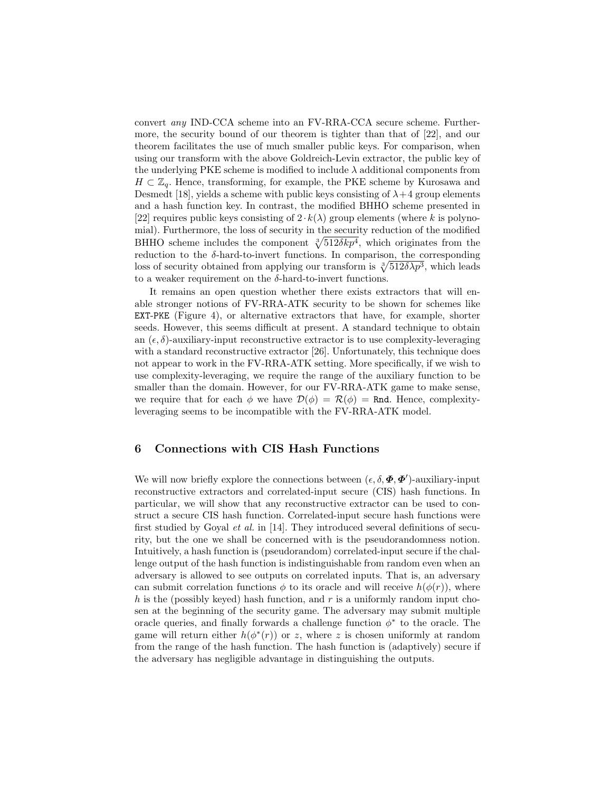convert any IND-CCA scheme into an FV-RRA-CCA secure scheme. Furthermore, the security bound of our theorem is tighter than that of [22], and our theorem facilitates the use of much smaller public keys. For comparison, when using our transform with the above Goldreich-Levin extractor, the public key of the underlying PKE scheme is modified to include  $\lambda$  additional components from  $H \subset \mathbb{Z}_q$ . Hence, transforming, for example, the PKE scheme by Kurosawa and Desmedt [18], yields a scheme with public keys consisting of  $\lambda + 4$  group elements and a hash function key. In contrast, the modified BHHO scheme presented in [22] requires public keys consisting of  $2 \cdot k(\lambda)$  group elements (where k is polynomial). Furthermore, the loss of security in the security reduction of the modified BHHO scheme includes the component  $\sqrt[3]{512\delta k p^4}$ , which originates from the reduction to the  $\delta$ -hard-to-invert functions. In comparison, the corresponding loss of security obtained from applying our transform is  $\sqrt[3]{512\delta\lambda p^3}$ , which leads to a weaker requirement on the  $\delta$ -hard-to-invert functions.

It remains an open question whether there exists extractors that will enable stronger notions of FV-RRA-ATK security to be shown for schemes like EXT-PKE (Figure 4), or alternative extractors that have, for example, shorter seeds. However, this seems difficult at present. A standard technique to obtain an  $(\epsilon, \delta)$ -auxiliary-input reconstructive extractor is to use complexity-leveraging with a standard reconstructive extractor [26]. Unfortunately, this technique does not appear to work in the FV-RRA-ATK setting. More specifically, if we wish to use complexity-leveraging, we require the range of the auxiliary function to be smaller than the domain. However, for our FV-RRA-ATK game to make sense, we require that for each  $\phi$  we have  $\mathcal{D}(\phi) = \mathcal{R}(\phi) = \text{Rnd}$ . Hence, complexityleveraging seems to be incompatible with the FV-RRA-ATK model.

#### 6 Connections with CIS Hash Functions

We will now briefly explore the connections between  $(\epsilon, \delta, \boldsymbol{\Phi}, \boldsymbol{\Phi}')$ -auxiliary-input reconstructive extractors and correlated-input secure (CIS) hash functions. In particular, we will show that any reconstructive extractor can be used to construct a secure CIS hash function. Correlated-input secure hash functions were first studied by Goyal et al. in [14]. They introduced several definitions of security, but the one we shall be concerned with is the pseudorandomness notion. Intuitively, a hash function is (pseudorandom) correlated-input secure if the challenge output of the hash function is indistinguishable from random even when an adversary is allowed to see outputs on correlated inputs. That is, an adversary can submit correlation functions  $\phi$  to its oracle and will receive  $h(\phi(r))$ , where h is the (possibly keyed) hash function, and  $r$  is a uniformly random input chosen at the beginning of the security game. The adversary may submit multiple oracle queries, and finally forwards a challenge function  $\phi^*$  to the oracle. The game will return either  $h(\phi^*(r))$  or z, where z is chosen uniformly at random from the range of the hash function. The hash function is (adaptively) secure if the adversary has negligible advantage in distinguishing the outputs.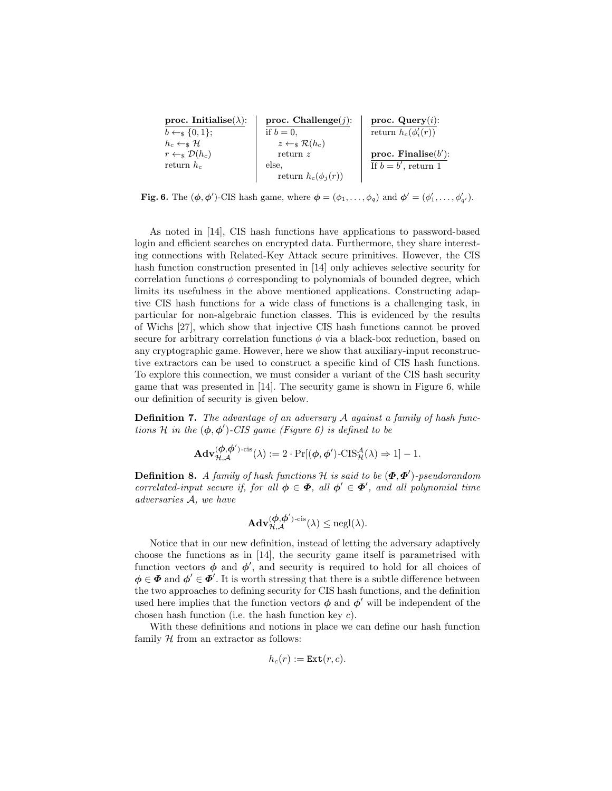| <b>proc. Initialise(λ):</b>       | <b>proc. Challenge(j):</b>        | <b>proc. Query(i):</b>          |
|-----------------------------------|-----------------------------------|---------------------------------|
| $b \leftarrow_s \{0, 1\};$        | if $b = 0$ ,                      | <b>return</b> $h_c(\phi'_i(r))$ |
| $h_c \leftarrow_s \mathcal{H}$    | $z \leftarrow_s \mathcal{R}(h_c)$ | <b>proc. Finally</b>            |
| $r \leftarrow_s \mathcal{D}(h_c)$ | <b>return</b> $z$                 | <b>proc. Finally</b>            |
| <b>return</b> $h_c$               | <b>proc. Finally</b>              |                                 |
| <b>return</b> $h_c$               | <b>proc. Finally</b>              |                                 |
| <b>return</b> $h_c$               | <b>if</b> $b = b'$ , return 1     |                                 |

**Fig. 6.** The  $(\phi, \phi')$ -CIS hash game, where  $\phi = (\phi_1, \dots, \phi_q)$  and  $\phi' = (\phi'_1, \dots, \phi'_{q'})$ .

As noted in [14], CIS hash functions have applications to password-based login and efficient searches on encrypted data. Furthermore, they share interesting connections with Related-Key Attack secure primitives. However, the CIS hash function construction presented in [14] only achieves selective security for correlation functions  $\phi$  corresponding to polynomials of bounded degree, which limits its usefulness in the above mentioned applications. Constructing adaptive CIS hash functions for a wide class of functions is a challenging task, in particular for non-algebraic function classes. This is evidenced by the results of Wichs [27], which show that injective CIS hash functions cannot be proved secure for arbitrary correlation functions  $\phi$  via a black-box reduction, based on any cryptographic game. However, here we show that auxiliary-input reconstructive extractors can be used to construct a specific kind of CIS hash functions. To explore this connection, we must consider a variant of the CIS hash security game that was presented in [14]. The security game is shown in Figure 6, while our definition of security is given below.

**Definition 7.** The advantage of an adversary A against a family of hash functions H in the  $(\phi, \phi')$ -CIS game (Figure 6) is defined to be

$$
\mathbf{Adv}_{\mathcal{H},\mathcal{A}}^{(\boldsymbol{\phi},\boldsymbol{\phi}')\text{-}\mathrm{cis}}(\lambda) := 2\cdot\Pr[(\boldsymbol{\phi},\boldsymbol{\phi}')\text{-}\mathrm{CIS}_{\mathcal{H}}^{\mathcal{A}}(\lambda) \Rightarrow 1] - 1.
$$

**Definition 8.** A family of hash functions H is said to be  $(\Phi, \Phi')$ -pseudorandom correlated-input secure if, for all  $\phi \in \Phi$ , all  $\phi' \in \Phi'$ , and all polynomial time adversaries A, we have

$$
\mathbf{Adv}_{\mathcal{H},\mathcal{A}}^{(\boldsymbol{\phi},\boldsymbol{\phi}')\text{-}\mathrm{cis}}(\lambda) \le \mathrm{negl}(\lambda).
$$

Notice that in our new definition, instead of letting the adversary adaptively choose the functions as in [14], the security game itself is parametrised with function vectors  $\phi$  and  $\phi'$ , and security is required to hold for all choices of  $\phi \in \mathbf{\Phi}$  and  $\phi' \in \mathbf{\Phi}'$ . It is worth stressing that there is a subtle difference between the two approaches to defining security for CIS hash functions, and the definition used here implies that the function vectors  $\phi$  and  $\phi'$  will be independent of the chosen hash function (i.e. the hash function key c).

With these definitions and notions in place we can define our hash function family  $H$  from an extractor as follows:

$$
h_c(r) := \text{Ext}(r, c).
$$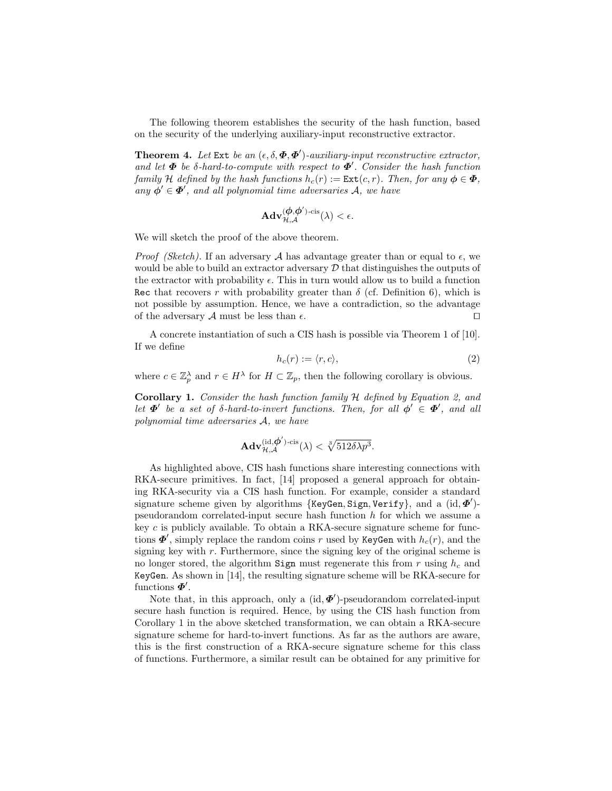The following theorem establishes the security of the hash function, based on the security of the underlying auxiliary-input reconstructive extractor.

**Theorem 4.** Let Ext be an  $(\epsilon, \delta, \Phi, \Phi')$ -auxiliary-input reconstructive extractor, and let  $\Phi$  be  $\delta$ -hard-to-compute with respect to  $\Phi'$ . Consider the hash function family H defined by the hash functions  $h_c(r) := \text{Ext}(c, r)$ . Then, for any  $\phi \in \Phi$ , any  $\phi' \in \mathbf{\Phi}'$ , and all polynomial time adversaries A, we have

$$
\mathbf{Adv}_{\mathcal{H},\mathcal{A}}^{(\boldsymbol{\phi},\boldsymbol{\phi}')\text{-}\mathrm{cis}}(\lambda)<\epsilon.
$$

We will sketch the proof of the above theorem.

*Proof (Sketch)*. If an adversary A has advantage greater than or equal to  $\epsilon$ , we would be able to build an extractor adversary  $\mathcal D$  that distinguishes the outputs of the extractor with probability  $\epsilon$ . This in turn would allow us to build a function Rec that recovers r with probability greater than  $\delta$  (cf. Definition 6), which is not possible by assumption. Hence, we have a contradiction, so the advantage of the adversary A must be less than  $\epsilon$ .

A concrete instantiation of such a CIS hash is possible via Theorem 1 of [10]. If we define

$$
h_c(r) := \langle r, c \rangle,\tag{2}
$$

where  $c \in \mathbb{Z}_p^{\lambda}$  and  $r \in H^{\lambda}$  for  $H \subset \mathbb{Z}_p$ , then the following corollary is obvious.

Corollary 1. Consider the hash function family H defined by Equation 2, and let  $\Phi'$  be a set of  $\delta$ -hard-to-invert functions. Then, for all  $\phi' \in \Phi'$ , and all polynomial time adversaries A, we have

$$
\mathbf{Adv}_{\mathcal{H},\mathcal{A}}^{(\mathrm{id},\boldsymbol{\phi}')\text{-}\mathrm{cis}}(\lambda) < \sqrt[3]{512\delta\lambda p^3}.
$$

As highlighted above, CIS hash functions share interesting connections with RKA-secure primitives. In fact, [14] proposed a general approach for obtaining RKA-security via a CIS hash function. For example, consider a standard signature scheme given by algorithms {KeyGen, Sign, Verify}, and a (id,  $\Phi'$ )pseudorandom correlated-input secure hash function h for which we assume a key  $c$  is publicly available. To obtain a RKA-secure signature scheme for functions  $\mathbf{\Phi}',$  simply replace the random coins r used by KeyGen with  $h_c(r)$ , and the signing key with  $r$ . Furthermore, since the signing key of the original scheme is no longer stored, the algorithm Sign must regenerate this from r using  $h_c$  and KeyGen. As shown in [14], the resulting signature scheme will be RKA-secure for functions  $\boldsymbol{\varPhi}'$ .

Note that, in this approach, only a  $(id, \mathbf{\Phi}')$ -pseudorandom correlated-input secure hash function is required. Hence, by using the CIS hash function from Corollary 1 in the above sketched transformation, we can obtain a RKA-secure signature scheme for hard-to-invert functions. As far as the authors are aware, this is the first construction of a RKA-secure signature scheme for this class of functions. Furthermore, a similar result can be obtained for any primitive for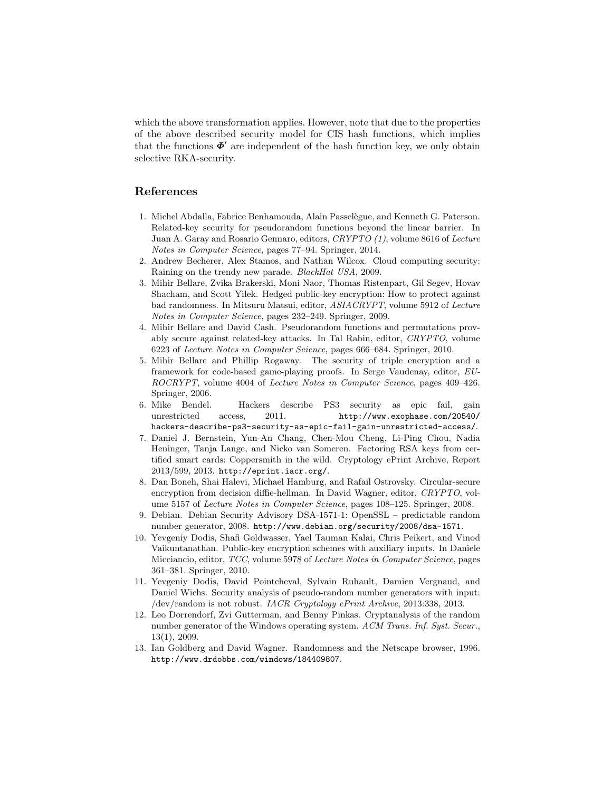which the above transformation applies. However, note that due to the properties of the above described security model for CIS hash functions, which implies that the functions  $\Phi'$  are independent of the hash function key, we only obtain selective RKA-security.

#### References

- 1. Michel Abdalla, Fabrice Benhamouda, Alain Passel`egue, and Kenneth G. Paterson. Related-key security for pseudorandom functions beyond the linear barrier. In Juan A. Garay and Rosario Gennaro, editors, CRYPTO (1), volume 8616 of Lecture Notes in Computer Science, pages 77–94. Springer, 2014.
- 2. Andrew Becherer, Alex Stamos, and Nathan Wilcox. Cloud computing security: Raining on the trendy new parade. BlackHat USA, 2009.
- 3. Mihir Bellare, Zvika Brakerski, Moni Naor, Thomas Ristenpart, Gil Segev, Hovav Shacham, and Scott Yilek. Hedged public-key encryption: How to protect against bad randomness. In Mitsuru Matsui, editor, ASIACRYPT, volume 5912 of Lecture Notes in Computer Science, pages 232–249. Springer, 2009.
- 4. Mihir Bellare and David Cash. Pseudorandom functions and permutations provably secure against related-key attacks. In Tal Rabin, editor, CRYPTO, volume 6223 of Lecture Notes in Computer Science, pages 666–684. Springer, 2010.
- 5. Mihir Bellare and Phillip Rogaway. The security of triple encryption and a framework for code-based game-playing proofs. In Serge Vaudenay, editor, EU-ROCRYPT, volume 4004 of Lecture Notes in Computer Science, pages 409–426. Springer, 2006.
- 6. Mike Bendel. Hackers describe PS3 security as epic fail, gain unrestricted access, 2011. http://www.exophase.com/20540/ hackers-describe-ps3-security-as-epic-fail-gain-unrestricted-access/.
- 7. Daniel J. Bernstein, Yun-An Chang, Chen-Mou Cheng, Li-Ping Chou, Nadia Heninger, Tanja Lange, and Nicko van Someren. Factoring RSA keys from certified smart cards: Coppersmith in the wild. Cryptology ePrint Archive, Report 2013/599, 2013. http://eprint.iacr.org/.
- 8. Dan Boneh, Shai Halevi, Michael Hamburg, and Rafail Ostrovsky. Circular-secure encryption from decision diffie-hellman. In David Wagner, editor, CRYPTO, volume 5157 of Lecture Notes in Computer Science, pages 108–125. Springer, 2008.
- 9. Debian. Debian Security Advisory DSA-1571-1: OpenSSL predictable random number generator, 2008. http://www.debian.org/security/2008/dsa-1571.
- 10. Yevgeniy Dodis, Shafi Goldwasser, Yael Tauman Kalai, Chris Peikert, and Vinod Vaikuntanathan. Public-key encryption schemes with auxiliary inputs. In Daniele Micciancio, editor, TCC, volume 5978 of Lecture Notes in Computer Science, pages 361–381. Springer, 2010.
- 11. Yevgeniy Dodis, David Pointcheval, Sylvain Ruhault, Damien Vergnaud, and Daniel Wichs. Security analysis of pseudo-random number generators with input: /dev/random is not robust. IACR Cryptology ePrint Archive, 2013:338, 2013.
- 12. Leo Dorrendorf, Zvi Gutterman, and Benny Pinkas. Cryptanalysis of the random number generator of the Windows operating system. ACM Trans. Inf. Syst. Secur., 13(1), 2009.
- 13. Ian Goldberg and David Wagner. Randomness and the Netscape browser, 1996. http://www.drdobbs.com/windows/184409807.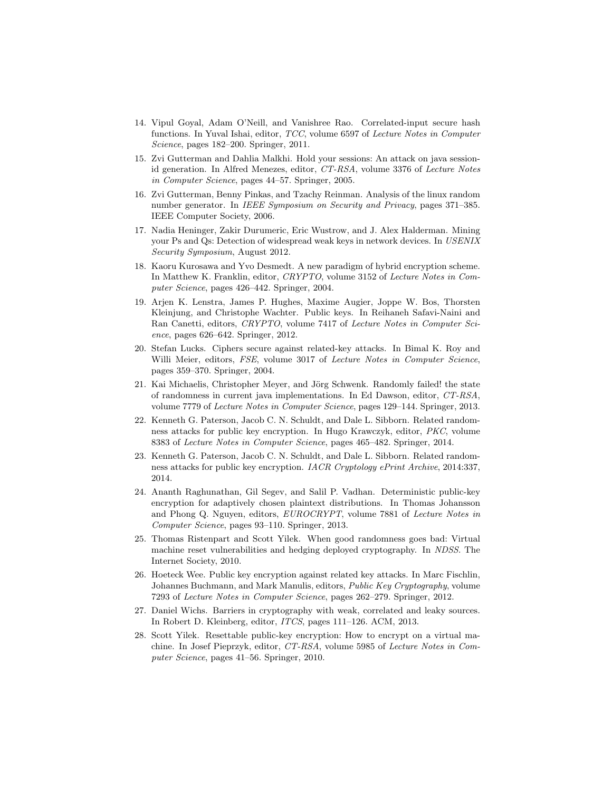- 14. Vipul Goyal, Adam O'Neill, and Vanishree Rao. Correlated-input secure hash functions. In Yuval Ishai, editor, TCC, volume 6597 of Lecture Notes in Computer Science, pages 182–200. Springer, 2011.
- 15. Zvi Gutterman and Dahlia Malkhi. Hold your sessions: An attack on java sessionid generation. In Alfred Menezes, editor, CT-RSA, volume 3376 of Lecture Notes in Computer Science, pages 44–57. Springer, 2005.
- 16. Zvi Gutterman, Benny Pinkas, and Tzachy Reinman. Analysis of the linux random number generator. In IEEE Symposium on Security and Privacy, pages 371–385. IEEE Computer Society, 2006.
- 17. Nadia Heninger, Zakir Durumeric, Eric Wustrow, and J. Alex Halderman. Mining your Ps and Qs: Detection of widespread weak keys in network devices. In USENIX Security Symposium, August 2012.
- 18. Kaoru Kurosawa and Yvo Desmedt. A new paradigm of hybrid encryption scheme. In Matthew K. Franklin, editor, CRYPTO, volume 3152 of Lecture Notes in Computer Science, pages 426–442. Springer, 2004.
- 19. Arjen K. Lenstra, James P. Hughes, Maxime Augier, Joppe W. Bos, Thorsten Kleinjung, and Christophe Wachter. Public keys. In Reihaneh Safavi-Naini and Ran Canetti, editors, CRYPTO, volume 7417 of Lecture Notes in Computer Science, pages 626–642. Springer, 2012.
- 20. Stefan Lucks. Ciphers secure against related-key attacks. In Bimal K. Roy and Willi Meier, editors, FSE, volume 3017 of Lecture Notes in Computer Science, pages 359–370. Springer, 2004.
- 21. Kai Michaelis, Christopher Meyer, and Jörg Schwenk. Randomly failed! the state of randomness in current java implementations. In Ed Dawson, editor, CT-RSA, volume 7779 of Lecture Notes in Computer Science, pages 129–144. Springer, 2013.
- 22. Kenneth G. Paterson, Jacob C. N. Schuldt, and Dale L. Sibborn. Related randomness attacks for public key encryption. In Hugo Krawczyk, editor, PKC, volume 8383 of Lecture Notes in Computer Science, pages 465–482. Springer, 2014.
- 23. Kenneth G. Paterson, Jacob C. N. Schuldt, and Dale L. Sibborn. Related randomness attacks for public key encryption. IACR Cryptology ePrint Archive, 2014:337, 2014.
- 24. Ananth Raghunathan, Gil Segev, and Salil P. Vadhan. Deterministic public-key encryption for adaptively chosen plaintext distributions. In Thomas Johansson and Phong Q. Nguyen, editors, EUROCRYPT, volume 7881 of Lecture Notes in Computer Science, pages 93–110. Springer, 2013.
- 25. Thomas Ristenpart and Scott Yilek. When good randomness goes bad: Virtual machine reset vulnerabilities and hedging deployed cryptography. In NDSS. The Internet Society, 2010.
- 26. Hoeteck Wee. Public key encryption against related key attacks. In Marc Fischlin, Johannes Buchmann, and Mark Manulis, editors, Public Key Cryptography, volume 7293 of Lecture Notes in Computer Science, pages 262–279. Springer, 2012.
- 27. Daniel Wichs. Barriers in cryptography with weak, correlated and leaky sources. In Robert D. Kleinberg, editor, ITCS, pages 111–126. ACM, 2013.
- 28. Scott Yilek. Resettable public-key encryption: How to encrypt on a virtual machine. In Josef Pieprzyk, editor, CT-RSA, volume 5985 of Lecture Notes in Computer Science, pages 41–56. Springer, 2010.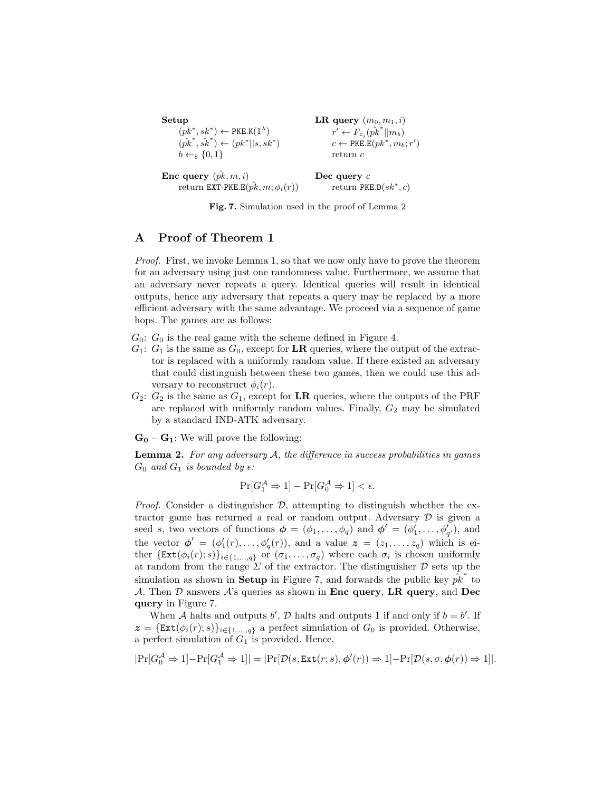```
Setup
  (pk^*, sk^*) \leftarrow \texttt{PKE.K}(1^{\lambda})(\hat{pk}^*, \hat{sk}^*) \leftarrow (pk^*||s, sk^*)b \leftarrow_s \{0, 1\}Enc query (\hat{pk}, m, i)\text{return } \text{\texttt{EXT-PKE.E}}(\hat{pk}, m; \phi_i(r))LR query (m_0, m_1, i)r^{'} \leftarrow F_{z_i}(\hat{pk}^*||m_b)c \leftarrow \texttt{PKE.E}(pk^*, m_b; r')return c
                                                         Dec query c
                                                                 return PKE.D(sk^*, c)
```
Fig. 7. Simulation used in the proof of Lemma 2

#### A Proof of Theorem 1

Proof. First, we invoke Lemma 1, so that we now only have to prove the theorem for an adversary using just one randomness value. Furthermore, we assume that an adversary never repeats a query. Identical queries will result in identical outputs, hence any adversary that repeats a query may be replaced by a more efficient adversary with the same advantage. We proceed via a sequence of game hops. The games are as follows:

- $G_0$ :  $G_0$  is the real game with the scheme defined in Figure 4.
- $G_1: G_1$  is the same as  $G_0$ , except for **LR** queries, where the output of the extractor is replaced with a uniformly random value. If there existed an adversary that could distinguish between these two games, then we could use this adversary to reconstruct  $\phi_i(r)$ .
- $G_2$ :  $G_2$  is the same as  $G_1$ , except for **LR** queries, where the outputs of the PRF are replaced with uniformly random values. Finally,  $G_2$  may be simulated by a standard IND-ATK adversary.

 $G_0 - G_1$ : We will prove the following:

**Lemma 2.** For any adversary  $A$ , the difference in success probabilities in games  $G_0$  and  $G_1$  is bounded by  $\epsilon$ :

$$
\Pr[G_1^{\mathcal{A}} \Rightarrow 1] - \Pr[G_0^{\mathcal{A}} \Rightarrow 1] < \epsilon.
$$

*Proof.* Consider a distinguisher  $\mathcal{D}$ , attempting to distinguish whether the extractor game has returned a real or random output. Adversary  $D$  is given a seed s, two vectors of functions  $\phi = (\phi_1, \ldots, \phi_q)$  and  $\phi' = (\phi'_1, \ldots, \phi'_{q'})$ , and the vector  $\phi' = (\phi'_1(r), \ldots, \phi'_q(r))$ , and a value  $\boldsymbol{z} = (z_1, \ldots, z_q)$  which is either  $\{\text{Ext}(\phi_i(r); s)\}_{i \in \{1, ..., q\}}$  or  $(\sigma_1, ..., \sigma_q)$  where each  $\sigma_i$  is chosen uniformly at random from the range  $\Sigma$  of the extractor. The distinguisher  $\mathcal D$  sets up the simulation as shown in Setup in Figure 7, and forwards the public key  $\hat{p}^*_k$  to A. Then  $D$  answers  $A$ 's queries as shown in **Enc query, LR query, and Dec** query in Figure 7.

When A halts and outputs b', D halts and outputs 1 if and only if  $b = b'$ . If  $z = {\text{Ext}(\phi_i(r); s)}_{i \in \{1, ..., q\}}$  a perfect simulation of  $G_0$  is provided. Otherwise, a perfect simulation of  $G_1$  is provided. Hence,

$$
|\mathrm{Pr}[G_0^{\mathcal{A}} \Rightarrow 1] - \mathrm{Pr}[G_1^{\mathcal{A}} \Rightarrow 1]| = |\mathrm{Pr}[\mathcal{D}(s,\mathrm{Ext}(r;s),\phi'(r)) \Rightarrow 1] - \mathrm{Pr}[\mathcal{D}(s,\sigma,\phi(r)) \Rightarrow 1]|.
$$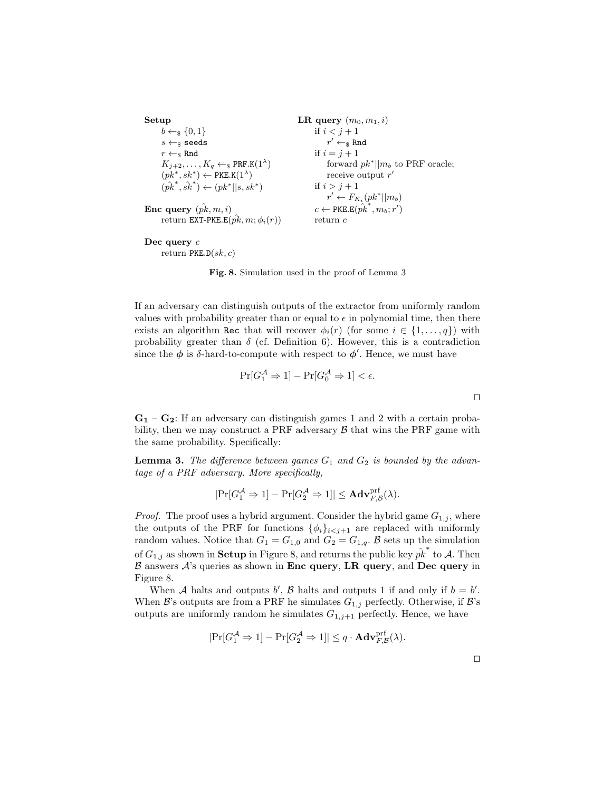```
Setup
 b \leftarrow s \{0, 1\}s \leftarrow_{\$} seeds
 r \leftarrow_{\$} \texttt{Rnd}K_{j+2},\ldots,K_q \leftarrow \mathbb{R} PRF.K(1^{\lambda})(pk^*, sk^*) \leftarrow \texttt{PKE.K}(1^{\lambda})(pk^*, s\hat{k}^*) \leftarrow (pk^*||s, sk^*)Enc query (\hat{pk}, m, i)\textsf{return }\texttt{EXT-PKE.E}(\hat{pk},m;\phi_i(r))LR query (m_0, m_1, i)if i < j + 1r' \leftarrow_{\$} \texttt{Rnd}if i = j + 1forward pk^*||m_b to PRF oracle;
                                                                       receive output r'if i > j + 1r' \leftarrow F_{K_i}(pk^*||m_b)c \leftarrow \texttt{PKE.E}(\hat{\hat{pk}^*}, m_b; r')return c
```
Dec query c return  $PKE.D(sk, c)$ 

Fig. 8. Simulation used in the proof of Lemma 3

If an adversary can distinguish outputs of the extractor from uniformly random values with probability greater than or equal to  $\epsilon$  in polynomial time, then there exists an algorithm Rec that will recover  $\phi_i(r)$  (for some  $i \in \{1, \ldots, q\}$ ) with probability greater than  $\delta$  (cf. Definition 6). However, this is a contradiction since the  $\phi$  is  $\delta$ -hard-to-compute with respect to  $\phi'$ . Hence, we must have

$$
\Pr[G_1^{\mathcal{A}} \Rightarrow 1] - \Pr[G_0^{\mathcal{A}} \Rightarrow 1] < \epsilon.
$$

 $\mathbf{G_{1}}$  –  $\mathbf{G_{2}}$ : If an adversary can distinguish games 1 and 2 with a certain probability, then we may construct a PRF adversary  $\beta$  that wins the PRF game with the same probability. Specifically:

**Lemma 3.** The difference between games  $G_1$  and  $G_2$  is bounded by the advantage of a PRF adversary. More specifically,

$$
|\mathrm{Pr}[G_1^{\mathcal{A}} \Rightarrow 1] - \mathrm{Pr}[G_2^{\mathcal{A}} \Rightarrow 1]| \leq \mathbf{Adv}_{F, \mathcal{B}}^{\mathrm{prf}}(\lambda).
$$

*Proof.* The proof uses a hybrid argument. Consider the hybrid game  $G_{1,j}$ , where the outputs of the PRF for functions  $\{\phi_i\}_{i \leq j+1}$  are replaced with uniformly random values. Notice that  $G_1 = G_{1,0}$  and  $G_2 = G_{1,q}$ . B sets up the simulation of  $G_{1,j}$  as shown in **Setup** in Figure 8, and returns the public key  $\hat{pk}^*$  to A. Then  $\beta$  answers  $\mathcal{A}$ 's queries as shown in Enc query, LR query, and Dec query in Figure 8.

When A halts and outputs b', B halts and outputs 1 if and only if  $b = b'$ . When B's outputs are from a PRF he simulates  $G_{1,j}$  perfectly. Otherwise, if B's outputs are uniformly random he simulates  $G_{1,j+1}$  perfectly. Hence, we have

$$
|\mathrm{Pr}[G_1^{\mathcal{A}} \Rightarrow 1] - \mathrm{Pr}[G_2^{\mathcal{A}} \Rightarrow 1]| \leq q \cdot \mathbf{Adv}_{F, \mathcal{B}}^{\mathrm{prf}}(\lambda).
$$